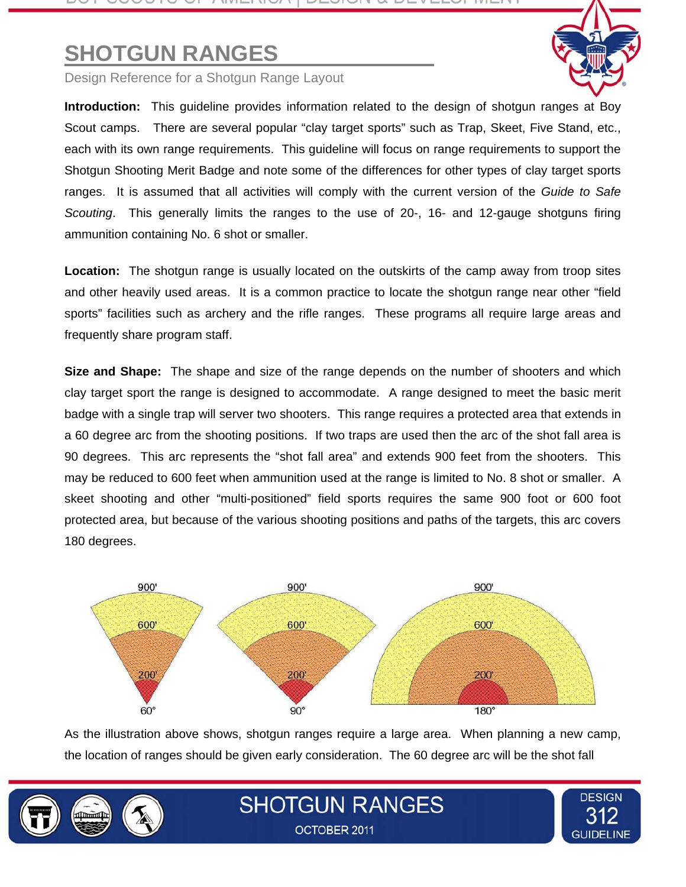# **SHOTGUN RANGES**

Design Reference for a Shotgun Range Layout

**Introduction:** This guideline provides information related to the design of shotgun ranges at Boy Scout camps. There are several popular "clay target sports" such as Trap, Skeet, Five Stand, etc., each with its own range requirements. This guideline will focus on range requirements to support the Shotgun Shooting Merit Badge and note some of the differences for other types of clay target sports ranges. It is assumed that all activities will comply with the current version of the *Guide to Safe Scouting*. This generally limits the ranges to the use of 20-, 16- and 12-gauge shotguns firing ammunition containing No. 6 shot or smaller.

**Location:** The shotgun range is usually located on the outskirts of the camp away from troop sites and other heavily used areas. It is a common practice to locate the shotgun range near other "field sports" facilities such as archery and the rifle ranges. These programs all require large areas and frequently share program staff.

**Size and Shape:** The shape and size of the range depends on the number of shooters and which clay target sport the range is designed to accommodate. A range designed to meet the basic merit badge with a single trap will server two shooters. This range requires a protected area that extends in a 60 degree arc from the shooting positions. If two traps are used then the arc of the shot fall area is 90 degrees. This arc represents the "shot fall area" and extends 900 feet from the shooters. This may be reduced to 600 feet when ammunition used at the range is limited to No. 8 shot or smaller. A skeet shooting and other "multi-positioned" field sports requires the same 900 foot or 600 foot protected area, but because of the various shooting positions and paths of the targets, this arc covers 180 degrees.



As the illustration above shows, shotgun ranges require a large area. When planning a new camp, the location of ranges should be given early consideration. The 60 degree arc will be the shot fall

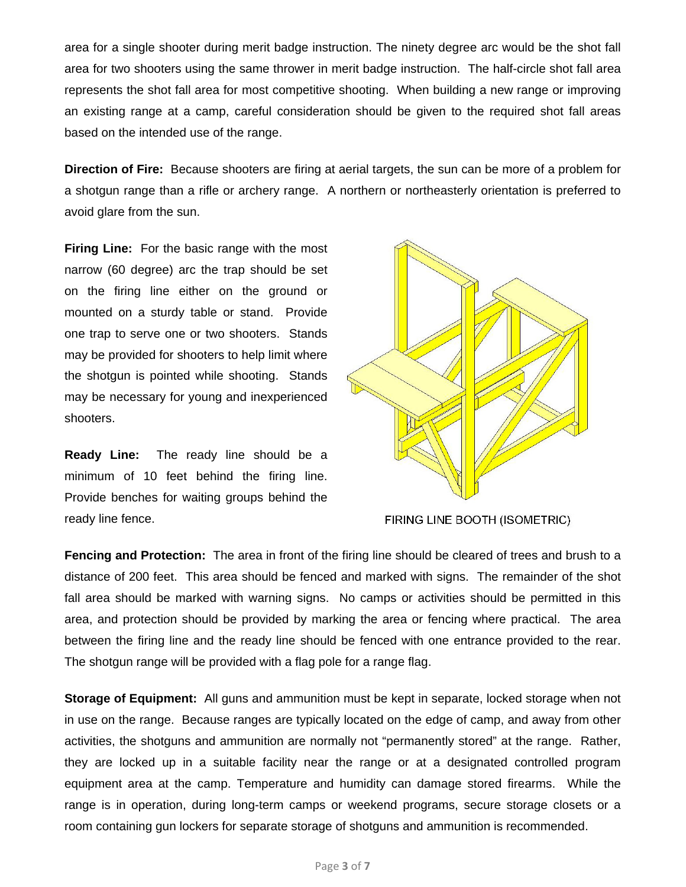area for a single shooter during merit badge instruction. The ninety degree arc would be the shot fall area for two shooters using the same thrower in merit badge instruction. The half-circle shot fall area represents the shot fall area for most competitive shooting. When building a new range or improving an existing range at a camp, careful consideration should be given to the required shot fall areas based on the intended use of the range.

**Direction of Fire:** Because shooters are firing at aerial targets, the sun can be more of a problem for a shotgun range than a rifle or archery range. A northern or northeasterly orientation is preferred to avoid glare from the sun.

**Firing Line:** For the basic range with the most narrow (60 degree) arc the trap should be set on the firing line either on the ground or mounted on a sturdy table or stand. Provide one trap to serve one or two shooters. Stands may be provided for shooters to help limit where the shotgun is pointed while shooting. Stands may be necessary for young and inexperienced shooters.

**Ready Line:** The ready line should be a minimum of 10 feet behind the firing line. Provide benches for waiting groups behind the ready line fence.



FIRING LINE BOOTH (ISOMETRIC)

**Fencing and Protection:** The area in front of the firing line should be cleared of trees and brush to a distance of 200 feet. This area should be fenced and marked with signs. The remainder of the shot fall area should be marked with warning signs. No camps or activities should be permitted in this area, and protection should be provided by marking the area or fencing where practical. The area between the firing line and the ready line should be fenced with one entrance provided to the rear. The shotgun range will be provided with a flag pole for a range flag.

**Storage of Equipment:** All guns and ammunition must be kept in separate, locked storage when not in use on the range. Because ranges are typically located on the edge of camp, and away from other activities, the shotguns and ammunition are normally not "permanently stored" at the range. Rather, they are locked up in a suitable facility near the range or at a designated controlled program equipment area at the camp. Temperature and humidity can damage stored firearms. While the range is in operation, during long-term camps or weekend programs, secure storage closets or a room containing gun lockers for separate storage of shotguns and ammunition is recommended.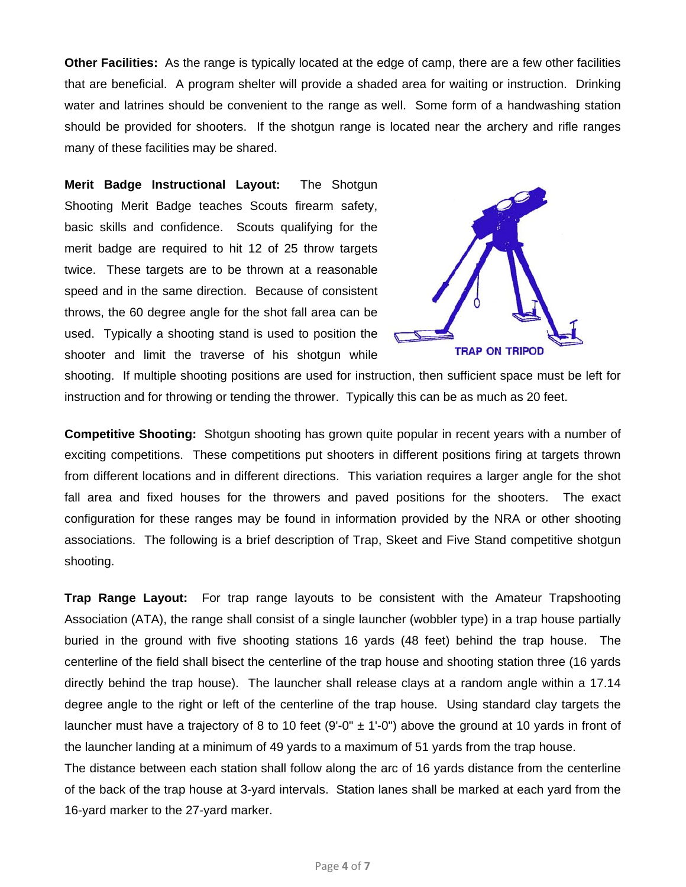**Other Facilities:** As the range is typically located at the edge of camp, there are a few other facilities that are beneficial. A program shelter will provide a shaded area for waiting or instruction. Drinking water and latrines should be convenient to the range as well. Some form of a handwashing station should be provided for shooters. If the shotgun range is located near the archery and rifle ranges many of these facilities may be shared.

**Merit Badge Instructional Layout:** The Shotgun Shooting Merit Badge teaches Scouts firearm safety, basic skills and confidence. Scouts qualifying for the merit badge are required to hit 12 of 25 throw targets twice. These targets are to be thrown at a reasonable speed and in the same direction. Because of consistent throws, the 60 degree angle for the shot fall area can be used. Typically a shooting stand is used to position the shooter and limit the traverse of his shotgun while



shooting. If multiple shooting positions are used for instruction, then sufficient space must be left for instruction and for throwing or tending the thrower. Typically this can be as much as 20 feet.

**Competitive Shooting:** Shotgun shooting has grown quite popular in recent years with a number of exciting competitions. These competitions put shooters in different positions firing at targets thrown from different locations and in different directions. This variation requires a larger angle for the shot fall area and fixed houses for the throwers and paved positions for the shooters. The exact configuration for these ranges may be found in information provided by the NRA or other shooting associations. The following is a brief description of Trap, Skeet and Five Stand competitive shotgun shooting.

**Trap Range Layout:** For trap range layouts to be consistent with the Amateur Trapshooting Association (ATA), the range shall consist of a single launcher (wobbler type) in a trap house partially buried in the ground with five shooting stations 16 yards (48 feet) behind the trap house. The centerline of the field shall bisect the centerline of the trap house and shooting station three (16 yards directly behind the trap house). The launcher shall release clays at a random angle within a 17.14 degree angle to the right or left of the centerline of the trap house. Using standard clay targets the launcher must have a trajectory of 8 to 10 feet (9'-0"  $\pm$  1'-0") above the ground at 10 yards in front of the launcher landing at a minimum of 49 yards to a maximum of 51 yards from the trap house.

The distance between each station shall follow along the arc of 16 yards distance from the centerline of the back of the trap house at 3-yard intervals. Station lanes shall be marked at each yard from the 16-yard marker to the 27-yard marker.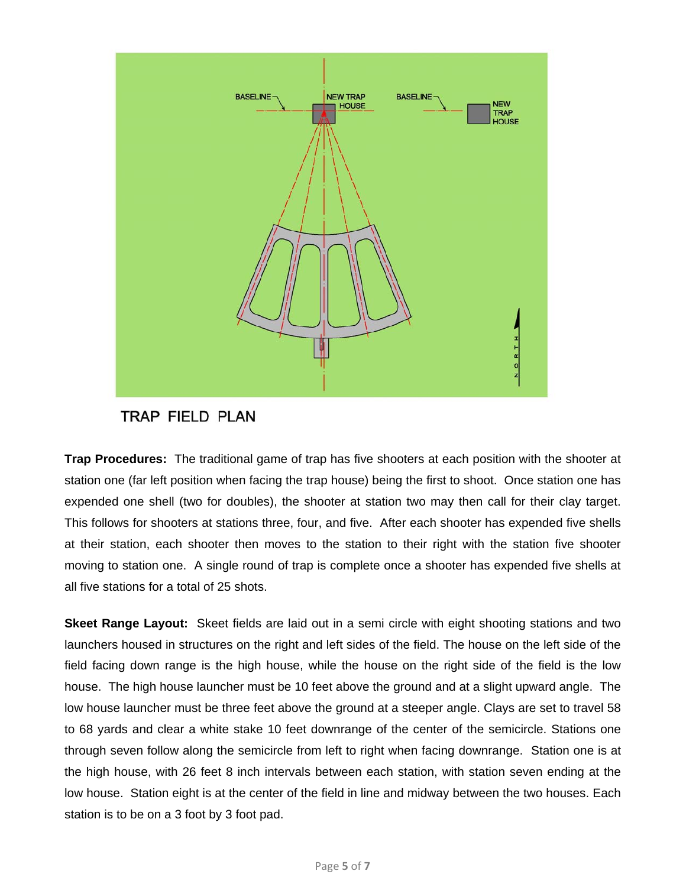

## TRAP FIELD PLAN

**Trap Procedures:** The traditional game of trap has five shooters at each position with the shooter at station one (far left position when facing the trap house) being the first to shoot. Once station one has expended one shell (two for doubles), the shooter at station two may then call for their clay target. This follows for shooters at stations three, four, and five. After each shooter has expended five shells at their station, each shooter then moves to the station to their right with the station five shooter moving to station one. A single round of trap is complete once a shooter has expended five shells at all five stations for a total of 25 shots.

**Skeet Range Layout:** Skeet fields are laid out in a semi circle with eight shooting stations and two launchers housed in structures on the right and left sides of the field. The house on the left side of the field facing down range is the high house, while the house on the right side of the field is the low house. The high house launcher must be 10 feet above the ground and at a slight upward angle. The low house launcher must be three feet above the ground at a steeper angle. Clays are set to travel 58 to 68 yards and clear a white stake 10 feet downrange of the center of the semicircle. Stations one through seven follow along the semicircle from left to right when facing downrange. Station one is at the high house, with 26 feet 8 inch intervals between each station, with station seven ending at the low house. Station eight is at the center of the field in line and midway between the two houses. Each station is to be on a 3 foot by 3 foot pad.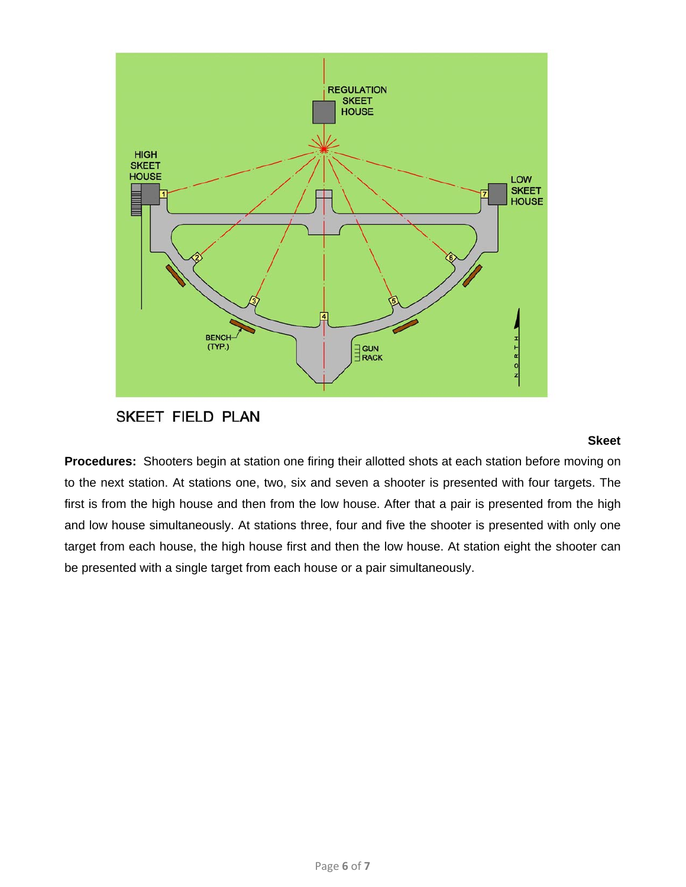

## SKEET FIELD PLAN

#### **Skeet**

**Procedures:** Shooters begin at station one firing their allotted shots at each station before moving on to the next station. At stations one, two, six and seven a shooter is presented with four targets. The first is from the high house and then from the low house. After that a pair is presented from the high and low house simultaneously. At stations three, four and five the shooter is presented with only one target from each house, the high house first and then the low house. At station eight the shooter can be presented with a single target from each house or a pair simultaneously.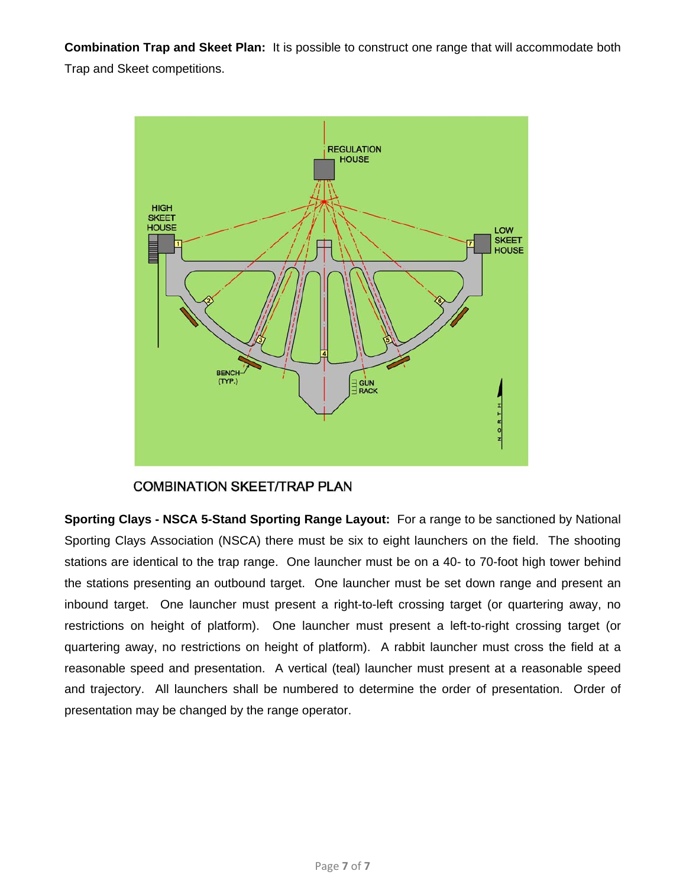**Combination Trap and Skeet Plan:** It is possible to construct one range that will accommodate both Trap and Skeet competitions.



### **COMBINATION SKEET/TRAP PLAN**

**Sporting Clays - NSCA 5-Stand Sporting Range Layout:** For a range to be sanctioned by National Sporting Clays Association (NSCA) there must be six to eight launchers on the field. The shooting stations are identical to the trap range. One launcher must be on a 40- to 70-foot high tower behind the stations presenting an outbound target. One launcher must be set down range and present an inbound target. One launcher must present a right-to-left crossing target (or quartering away, no restrictions on height of platform). One launcher must present a left-to-right crossing target (or quartering away, no restrictions on height of platform). A rabbit launcher must cross the field at a reasonable speed and presentation. A vertical (teal) launcher must present at a reasonable speed and trajectory. All launchers shall be numbered to determine the order of presentation. Order of presentation may be changed by the range operator.